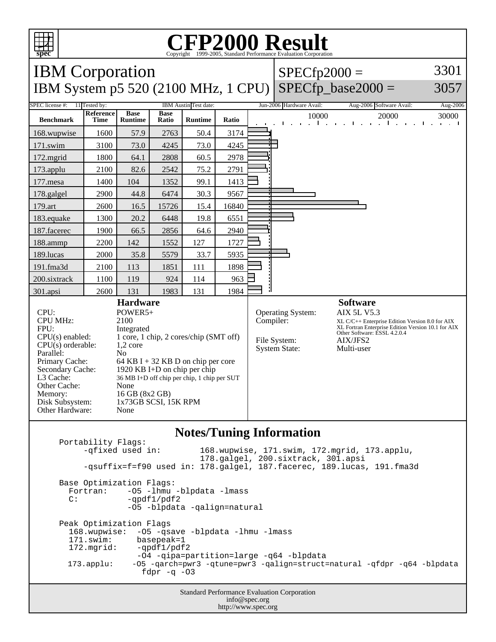

## C<sub>opyright</sub> ©1999-2005, Standard Performance Evaluation Corporation

| <b>IBM</b> Corporation<br><b>IBM System p5 520 (2100 MHz, 1 CPU)</b>                                                                                                                                                                                                                                                                                                                                                                                                                                                    |                   |                               |                      |                |       | $SPECfp2000 =$ | $SPECfp\_base2000 =$                                      | 3301<br>3057                                                                                                                                                                                             |                      |
|-------------------------------------------------------------------------------------------------------------------------------------------------------------------------------------------------------------------------------------------------------------------------------------------------------------------------------------------------------------------------------------------------------------------------------------------------------------------------------------------------------------------------|-------------------|-------------------------------|----------------------|----------------|-------|----------------|-----------------------------------------------------------|----------------------------------------------------------------------------------------------------------------------------------------------------------------------------------------------------------|----------------------|
| IBM Austin Test date:<br>SPEC license #:<br>11 Tested by:                                                                                                                                                                                                                                                                                                                                                                                                                                                               |                   |                               |                      |                |       |                | Jun-2006 Hardware Avail:                                  | Aug-2006 Software Avail:                                                                                                                                                                                 | Aug-2006             |
| <b>Benchmark</b>                                                                                                                                                                                                                                                                                                                                                                                                                                                                                                        | Reference<br>Time | <b>Base</b><br><b>Runtime</b> | <b>Base</b><br>Ratio | <b>Runtime</b> | Ratio |                | 10000<br>$\mathbf{1}$ and $\mathbf{1}$<br>$\blacksquare$  | 20000<br>$\mathbf{u}^{\prime}$<br>.<br>$\mathbf{I}$<br>$\mathbf{I}$                                                                                                                                      | 30000<br>and a state |
| 168.wupwise                                                                                                                                                                                                                                                                                                                                                                                                                                                                                                             | 1600              | 57.9                          | 2763                 | 50.4           | 3174  |                |                                                           |                                                                                                                                                                                                          |                      |
| 171.swim                                                                                                                                                                                                                                                                                                                                                                                                                                                                                                                | 3100              | 73.0                          | 4245                 | 73.0           | 4245  |                |                                                           |                                                                                                                                                                                                          |                      |
| 172.mgrid                                                                                                                                                                                                                                                                                                                                                                                                                                                                                                               | 1800              | 64.1                          | 2808                 | 60.5           | 2978  |                |                                                           |                                                                                                                                                                                                          |                      |
| 173.applu                                                                                                                                                                                                                                                                                                                                                                                                                                                                                                               | 2100              | 82.6                          | 2542                 | 75.2           | 2791  |                |                                                           |                                                                                                                                                                                                          |                      |
| 177.mesa                                                                                                                                                                                                                                                                                                                                                                                                                                                                                                                | 1400              | 104                           | 1352                 | 99.1           | 1413  |                |                                                           |                                                                                                                                                                                                          |                      |
| 178.galgel                                                                                                                                                                                                                                                                                                                                                                                                                                                                                                              | 2900              | 44.8                          | 6474                 | 30.3           | 9567  |                |                                                           |                                                                                                                                                                                                          |                      |
| 179.art                                                                                                                                                                                                                                                                                                                                                                                                                                                                                                                 | 2600              | 16.5                          | 15726                | 15.4           | 16840 |                |                                                           |                                                                                                                                                                                                          |                      |
| 183.equake                                                                                                                                                                                                                                                                                                                                                                                                                                                                                                              | 1300              | 20.2                          | 6448                 | 19.8           | 6551  |                |                                                           |                                                                                                                                                                                                          |                      |
| 187.facerec                                                                                                                                                                                                                                                                                                                                                                                                                                                                                                             | 1900              | 66.5                          | 2856                 | 64.6           | 2940  |                |                                                           |                                                                                                                                                                                                          |                      |
| 188.ammp                                                                                                                                                                                                                                                                                                                                                                                                                                                                                                                | 2200              | 142                           | 1552                 | 127            | 1727  |                |                                                           |                                                                                                                                                                                                          |                      |
| 189.lucas                                                                                                                                                                                                                                                                                                                                                                                                                                                                                                               | 2000              | 35.8                          | 5579                 | 33.7           | 5935  |                |                                                           |                                                                                                                                                                                                          |                      |
| 191.fma3d                                                                                                                                                                                                                                                                                                                                                                                                                                                                                                               | 2100              | 113                           | 1851                 | 111            | 1898  |                |                                                           |                                                                                                                                                                                                          |                      |
| 200.sixtrack                                                                                                                                                                                                                                                                                                                                                                                                                                                                                                            | 1100              | 119                           | 924                  | 114            | 963   |                |                                                           |                                                                                                                                                                                                          |                      |
| 301.apsi                                                                                                                                                                                                                                                                                                                                                                                                                                                                                                                | 2600              | 131                           | 1983                 | 131            | 1984  |                |                                                           |                                                                                                                                                                                                          |                      |
| <b>Hardware</b><br>CPU:<br>POWER5+<br><b>CPU MHz:</b><br>2100<br>FPU:<br>Integrated<br>1 core, 1 chip, 2 cores/chip (SMT off)<br>$CPU(s)$ enabled:<br>CPU(s) orderable:<br>$1,2$ core<br>Parallel:<br>N <sub>0</sub><br>Primary Cache:<br>64 KB I + 32 KB D on chip per core<br>Secondary Cache:<br>1920 KB I+D on chip per chip<br>L3 Cache:<br>36 MB I+D off chip per chip, 1 chip per SUT<br>Other Cache:<br>None<br>16 GB (8x2 GB)<br>Memory:<br>Disk Subsystem:<br>1x73GB SCSI, 15K RPM<br>Other Hardware:<br>None |                   |                               |                      |                |       | Compiler:      | Operating System:<br>File System:<br><b>System State:</b> | <b>Software</b><br><b>AIX 5L V5.3</b><br>XL C/C++ Enterprise Edition Version 8.0 for AIX<br>XL Fortran Enterprise Edition Version 10.1 for AIX<br>Other Software: ESSL 4.2.0.4<br>AIX/JFS2<br>Multi-user |                      |

## **Notes/Tuning Information**

Portability Flags:<br>-qfixed used in: 168.wupwise, 171.swim, 172.mgrid, 173.applu, 178.galgel, 200.sixtrack, 301.apsi -qsuffix=f=f90 used in: 178.galgel, 187.facerec, 189.lucas, 191.fma3d Base Optimization Flags: Fortran: -05 -1hmu -blpdata -1mass<br>C: -ordf1/pdf2  $-qpdf1/pdf2$  -O5 -blpdata -qalign=natural Peak Optimization Flags 168.wupwise: -O5 -qsave -blpdata -lhmu -lmass 171.swim: basepeak=1<br>172.mgrid: -qpdf1/pdf  $-qpdf1/pdf2$  -O4 -qipa=partition=large -q64 -blpdata 173.applu: -O5 -qarch=pwr3 -qtune=pwr3 -qalign=struct=natural -qfdpr -q64 -blpdata fdpr  $-q$  -03

> Standard Performance Evaluation Corporation info@spec.org http://www.spec.org